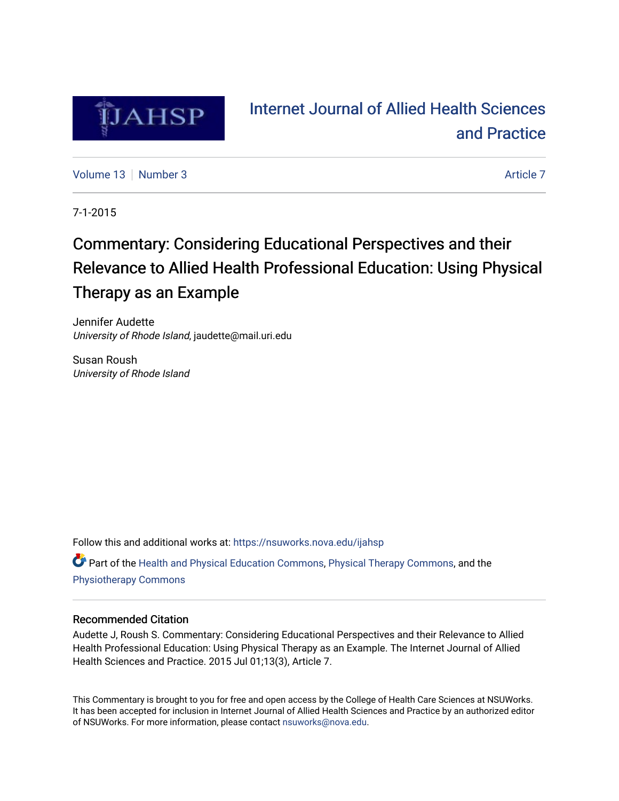

# [Internet Journal of Allied Health Sciences](https://nsuworks.nova.edu/ijahsp)  [and Practice](https://nsuworks.nova.edu/ijahsp)

[Volume 13](https://nsuworks.nova.edu/ijahsp/vol13) [Number 3](https://nsuworks.nova.edu/ijahsp/vol13/iss3) [Article 7](https://nsuworks.nova.edu/ijahsp/vol13/iss3/7) Article 7 Article 7 Article 7 Article 7 Article 7 Article 7

7-1-2015

# Commentary: Considering Educational Perspectives and their Relevance to Allied Health Professional Education: Using Physical Therapy as an Example

Jennifer Audette University of Rhode Island, jaudette@mail.uri.edu

Susan Roush University of Rhode Island

Follow this and additional works at: [https://nsuworks.nova.edu/ijahsp](https://nsuworks.nova.edu/ijahsp?utm_source=nsuworks.nova.edu%2Fijahsp%2Fvol13%2Fiss3%2F7&utm_medium=PDF&utm_campaign=PDFCoverPages)  Part of the [Health and Physical Education Commons](http://network.bepress.com/hgg/discipline/1327?utm_source=nsuworks.nova.edu%2Fijahsp%2Fvol13%2Fiss3%2F7&utm_medium=PDF&utm_campaign=PDFCoverPages), [Physical Therapy Commons,](http://network.bepress.com/hgg/discipline/754?utm_source=nsuworks.nova.edu%2Fijahsp%2Fvol13%2Fiss3%2F7&utm_medium=PDF&utm_campaign=PDFCoverPages) and the [Physiotherapy Commons](http://network.bepress.com/hgg/discipline/1086?utm_source=nsuworks.nova.edu%2Fijahsp%2Fvol13%2Fiss3%2F7&utm_medium=PDF&utm_campaign=PDFCoverPages)

### Recommended Citation

Audette J, Roush S. Commentary: Considering Educational Perspectives and their Relevance to Allied Health Professional Education: Using Physical Therapy as an Example. The Internet Journal of Allied Health Sciences and Practice. 2015 Jul 01;13(3), Article 7.

This Commentary is brought to you for free and open access by the College of Health Care Sciences at NSUWorks. It has been accepted for inclusion in Internet Journal of Allied Health Sciences and Practice by an authorized editor of NSUWorks. For more information, please contact [nsuworks@nova.edu.](mailto:nsuworks@nova.edu)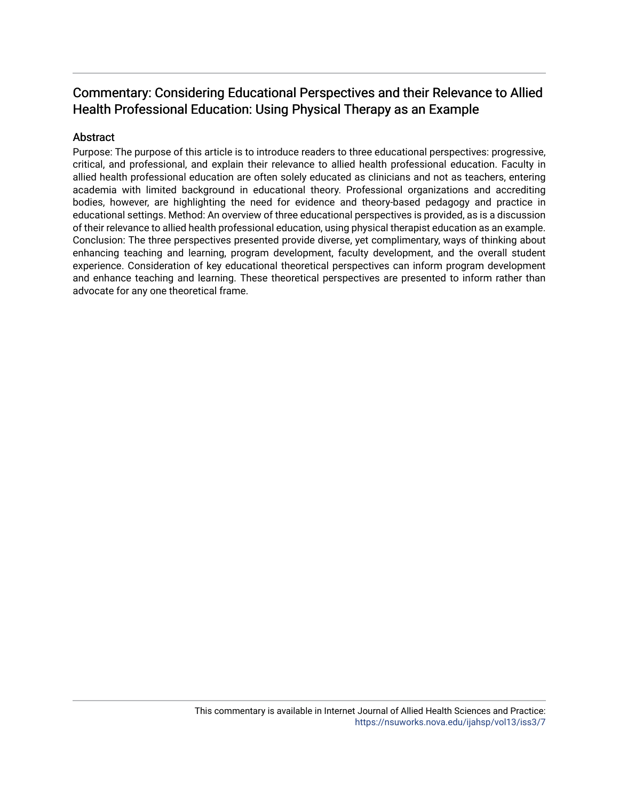## Commentary: Considering Educational Perspectives and their Relevance to Allied Health Professional Education: Using Physical Therapy as an Example

### Abstract

Purpose: The purpose of this article is to introduce readers to three educational perspectives: progressive, critical, and professional, and explain their relevance to allied health professional education. Faculty in allied health professional education are often solely educated as clinicians and not as teachers, entering academia with limited background in educational theory. Professional organizations and accrediting bodies, however, are highlighting the need for evidence and theory-based pedagogy and practice in educational settings. Method: An overview of three educational perspectives is provided, as is a discussion of their relevance to allied health professional education, using physical therapist education as an example. Conclusion: The three perspectives presented provide diverse, yet complimentary, ways of thinking about enhancing teaching and learning, program development, faculty development, and the overall student experience. Consideration of key educational theoretical perspectives can inform program development and enhance teaching and learning. These theoretical perspectives are presented to inform rather than advocate for any one theoretical frame.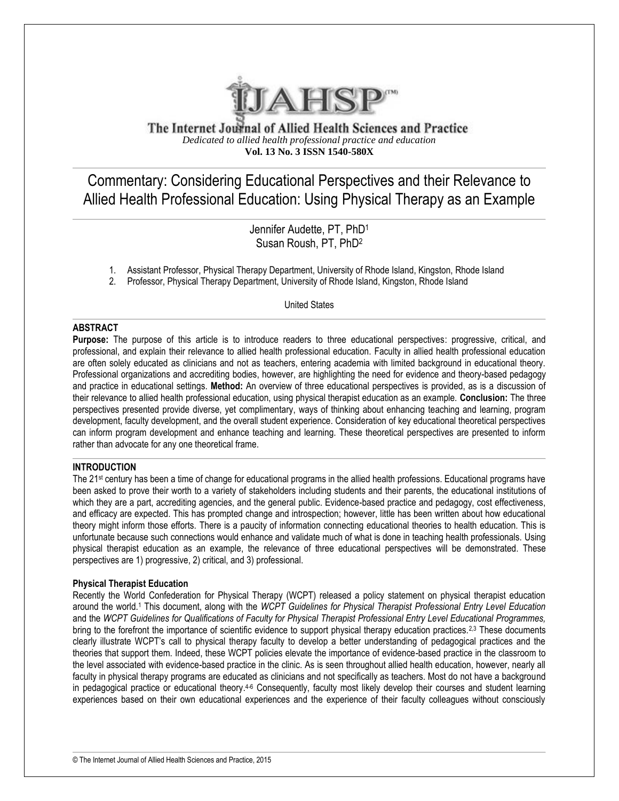

The Internet Journal of Allied Health Sciences and Practice *Dedicated to allied health professional practice and education* **Vol. 13 No. 3 ISSN 1540-580X**

Commentary: Considering Educational Perspectives and their Relevance to Allied Health Professional Education: Using Physical Therapy as an Example

> Jennifer Audette, PT, PhD<sup>1</sup> Susan Roush, PT, PhD<sup>2</sup>

- 1. Assistant Professor, Physical Therapy Department, University of Rhode Island, Kingston, Rhode Island
- 2. Professor, Physical Therapy Department, University of Rhode Island, Kingston, Rhode Island

United States

#### **ABSTRACT**

**Purpose:** The purpose of this article is to introduce readers to three educational perspectives: progressive, critical, and professional, and explain their relevance to allied health professional education. Faculty in allied health professional education are often solely educated as clinicians and not as teachers, entering academia with limited background in educational theory. Professional organizations and accrediting bodies, however, are highlighting the need for evidence and theory-based pedagogy and practice in educational settings. **Method:** An overview of three educational perspectives is provided, as is a discussion of their relevance to allied health professional education, using physical therapist education as an example. **Conclusion:** The three perspectives presented provide diverse, yet complimentary, ways of thinking about enhancing teaching and learning, program development, faculty development, and the overall student experience. Consideration of key educational theoretical perspectives can inform program development and enhance teaching and learning. These theoretical perspectives are presented to inform rather than advocate for any one theoretical frame.

#### **INTRODUCTION**

The 21st century has been a time of change for educational programs in the allied health professions. Educational programs have been asked to prove their worth to a variety of stakeholders including students and their parents, the educational institutions of which they are a part, accrediting agencies, and the general public. Evidence-based practice and pedagogy, cost effectiveness, and efficacy are expected. This has prompted change and introspection; however, little has been written about how educational theory might inform those efforts. There is a paucity of information connecting educational theories to health education. This is unfortunate because such connections would enhance and validate much of what is done in teaching health professionals. Using physical therapist education as an example, the relevance of three educational perspectives will be demonstrated. These perspectives are 1) progressive, 2) critical, and 3) professional.

#### **Physical Therapist Education**

Recently the World Confederation for Physical Therapy (WCPT) released a policy statement on physical therapist education around the world.<sup>1</sup> This document, along with the *WCPT Guidelines for Physical Therapist Professional Entry Level Education* and the *WCPT Guidelines for Qualifications of Faculty for Physical Therapist Professional Entry Level Educational Programmes,* bring to the forefront the importance of scientific evidence to support physical therapy education practices.<sup>2,3</sup> These documents clearly illustrate WCPT's call to physical therapy faculty to develop a better understanding of pedagogical practices and the theories that support them. Indeed, these WCPT policies elevate the importance of evidence-based practice in the classroom to the level associated with evidence-based practice in the clinic. As is seen throughout allied health education, however, nearly all faculty in physical therapy programs are educated as clinicians and not specifically as teachers. Most do not have a background in pedagogical practice or educational theory.<sup>4-6</sup> Consequently, faculty most likely develop their courses and student learning experiences based on their own educational experiences and the experience of their faculty colleagues without consciously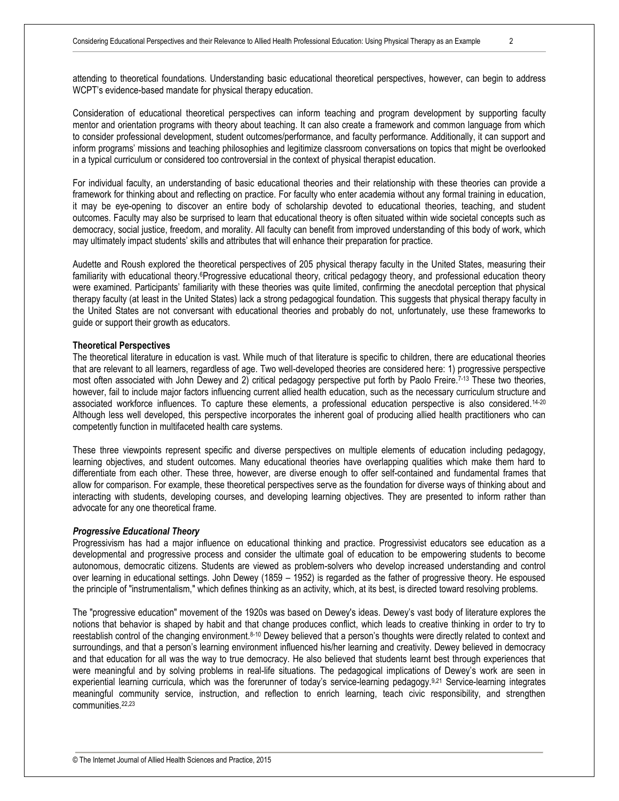attending to theoretical foundations. Understanding basic educational theoretical perspectives, however, can begin to address WCPT's evidence-based mandate for physical therapy education.

Consideration of educational theoretical perspectives can inform teaching and program development by supporting faculty mentor and orientation programs with theory about teaching. It can also create a framework and common language from which to consider professional development, student outcomes/performance, and faculty performance. Additionally, it can support and inform programs' missions and teaching philosophies and legitimize classroom conversations on topics that might be overlooked in a typical curriculum or considered too controversial in the context of physical therapist education.

For individual faculty, an understanding of basic educational theories and their relationship with these theories can provide a framework for thinking about and reflecting on practice. For faculty who enter academia without any formal training in education, it may be eye-opening to discover an entire body of scholarship devoted to educational theories, teaching, and student outcomes. Faculty may also be surprised to learn that educational theory is often situated within wide societal concepts such as democracy, social justice, freedom, and morality. All faculty can benefit from improved understanding of this body of work, which may ultimately impact students' skills and attributes that will enhance their preparation for practice.

Audette and Roush explored the theoretical perspectives of 205 physical therapy faculty in the United States, measuring their familiarity with educational theory.<sup>6</sup>Progressive educational theory, critical pedagogy theory, and professional education theory were examined. Participants' familiarity with these theories was quite limited, confirming the anecdotal perception that physical therapy faculty (at least in the United States) lack a strong pedagogical foundation. This suggests that physical therapy faculty in the United States are not conversant with educational theories and probably do not, unfortunately, use these frameworks to guide or support their growth as educators.

#### **Theoretical Perspectives**

The theoretical literature in education is vast. While much of that literature is specific to children, there are educational theories that are relevant to all learners, regardless of age. Two well-developed theories are considered here: 1) progressive perspective most often associated with John Dewey and 2) critical pedagogy perspective put forth by Paolo Freire.<sup>7-13</sup> These two theories, however, fail to include major factors influencing current allied health education, such as the necessary curriculum structure and associated workforce influences. To capture these elements, a professional education perspective is also considered.14-20 Although less well developed, this perspective incorporates the inherent goal of producing allied health practitioners who can competently function in multifaceted health care systems.

These three viewpoints represent specific and diverse perspectives on multiple elements of education including pedagogy, learning objectives, and student outcomes. Many educational theories have overlapping qualities which make them hard to differentiate from each other. These three, however, are diverse enough to offer self-contained and fundamental frames that allow for comparison. For example, these theoretical perspectives serve as the foundation for diverse ways of thinking about and interacting with students, developing courses, and developing learning objectives. They are presented to inform rather than advocate for any one theoretical frame.

#### *Progressive Educational Theory*

Progressivism has had a major influence on educational thinking and practice. Progressivist educators see education as a developmental and progressive process and consider the ultimate goal of education to be empowering students to become autonomous, democratic citizens. Students are viewed as problem-solvers who develop increased understanding and control over learning in educational settings. John Dewey (1859 – 1952) is regarded as the father of progressive theory. He espoused the principle of "instrumentalism," which defines thinking as an activity, which, at its best, is directed toward resolving problems.

The "progressive education" movement of the 1920s was based on Dewey's ideas. Dewey's vast body of literature explores the notions that behavior is shaped by habit and that change produces conflict, which leads to creative thinking in order to try to reestablish control of the changing environment.8-10 Dewey believed that a person's thoughts were directly related to context and surroundings, and that a person's learning environment influenced his/her learning and creativity. Dewey believed in democracy and that education for all was the way to true democracy. He also believed that students learnt best through experiences that were meaningful and by solving problems in real-life situations. The pedagogical implications of Dewey's work are seen in experiential learning curricula, which was the forerunner of today's service-learning pedagogy.<sup>9,21</sup> Service-learning integrates meaningful community service, instruction, and reflection to enrich learning, teach civic responsibility, and strengthen communities.22,23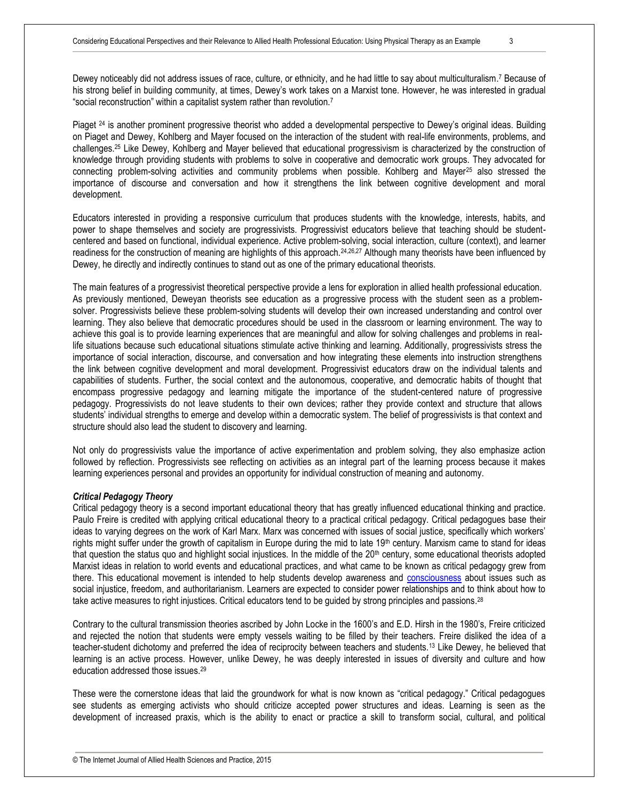Piaget <sup>24</sup> is another prominent progressive theorist who added a developmental perspective to Dewey's original ideas. Building on Piaget and Dewey, Kohlberg and Mayer focused on the interaction of the student with real-life environments, problems, and challenges.<sup>25</sup> Like Dewey, Kohlberg and Mayer believed that educational progressivism is characterized by the construction of knowledge through providing students with problems to solve in cooperative and democratic work groups. They advocated for connecting problem-solving activities and community problems when possible. Kohlberg and Mayer<sup>25</sup> also stressed the importance of discourse and conversation and how it strengthens the link between cognitive development and moral development.

Educators interested in providing a responsive curriculum that produces students with the knowledge, interests, habits, and power to shape themselves and society are progressivists. Progressivist educators believe that teaching should be studentcentered and based on functional, individual experience. Active problem-solving, social interaction, culture (context), and learner readiness for the construction of meaning are highlights of this approach.24,26,27 Although many theorists have been influenced by Dewey, he directly and indirectly continues to stand out as one of the primary educational theorists.

The main features of a progressivist theoretical perspective provide a lens for exploration in allied health professional education. As previously mentioned, Deweyan theorists see education as a progressive process with the student seen as a problemsolver. Progressivists believe these problem-solving students will develop their own increased understanding and control over learning. They also believe that democratic procedures should be used in the classroom or learning environment. The way to achieve this goal is to provide learning experiences that are meaningful and allow for solving challenges and problems in reallife situations because such educational situations stimulate active thinking and learning. Additionally, progressivists stress the importance of social interaction, discourse, and conversation and how integrating these elements into instruction strengthens the link between cognitive development and moral development. Progressivist educators draw on the individual talents and capabilities of students. Further, the social context and the autonomous, cooperative, and democratic habits of thought that encompass progressive pedagogy and learning mitigate the importance of the student-centered nature of progressive pedagogy. Progressivists do not leave students to their own devices; rather they provide context and structure that allows students' individual strengths to emerge and develop within a democratic system. The belief of progressivists is that context and structure should also lead the student to discovery and learning.

Not only do progressivists value the importance of active experimentation and problem solving, they also emphasize action followed by reflection. Progressivists see reflecting on activities as an integral part of the learning process because it makes learning experiences personal and provides an opportunity for individual construction of meaning and autonomy.

#### *Critical Pedagogy Theory*

Critical pedagogy theory is a second important educational theory that has greatly influenced educational thinking and practice. Paulo Freire is credited with applying critical educational theory to a practical critical pedagogy. Critical pedagogues base their ideas to varying degrees on the work of Karl Marx. Marx was concerned with issues of social justice, specifically which workers' rights might suffer under the growth of capitalism in Europe during the mid to late  $19<sup>th</sup>$  century. Marxism came to stand for ideas that question the status quo and highlight social injustices. In the middle of the  $20<sup>th</sup>$  century, some educational theorists adopted Marxist ideas in relation to world events and educational practices, and what came to be known as critical pedagogy grew from there. This educational movement is intended to help students develop awareness and [consciousness](http://en.wikipedia.org/wiki/Critical_consciousness) about issues such as social injustice, freedom, and authoritarianism. Learners are expected to consider power relationships and to think about how to take active measures to right injustices. Critical educators tend to be guided by strong principles and passions.<sup>28</sup>

Contrary to the cultural transmission theories ascribed by John Locke in the 1600's and E.D. Hirsh in the 1980's, Freire criticized and rejected the notion that students were empty vessels waiting to be filled by their teachers. Freire disliked the idea of a teacher-student dichotomy and preferred the idea of reciprocity between teachers and students.<sup>13</sup> Like Dewey, he believed that learning is an active process. However, unlike Dewey, he was deeply interested in issues of diversity and culture and how education addressed those issues. 29

These were the cornerstone ideas that laid the groundwork for what is now known as "critical pedagogy." Critical pedagogues see students as emerging activists who should criticize accepted power structures and ideas. Learning is seen as the development of increased praxis, which is the ability to enact or practice a skill to transform social, cultural, and political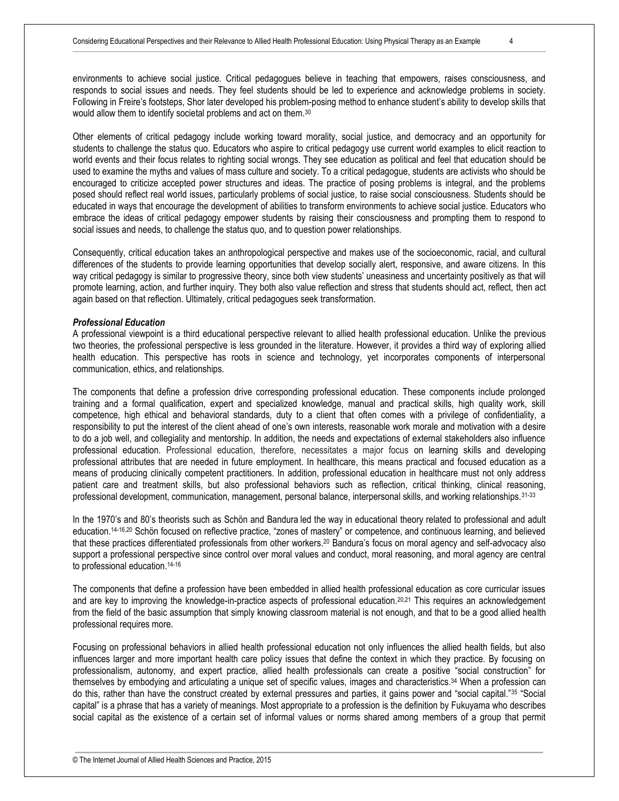environments to achieve social justice. Critical pedagogues believe in teaching that empowers, raises consciousness, and responds to social issues and needs. They feel students should be led to experience and acknowledge problems in society. Following in Freire's footsteps, Shor later developed his problem-posing method to enhance student's ability to develop skills that would allow them to identify societal problems and act on them.<sup>30</sup>

Other elements of critical pedagogy include working toward morality, social justice, and democracy and an opportunity for students to challenge the status quo. Educators who aspire to critical pedagogy use current world examples to elicit reaction to world events and their focus relates to righting social wrongs. They see education as political and feel that education should be used to examine the myths and values of mass culture and society. To a critical pedagogue, students are activists who should be encouraged to criticize accepted power structures and ideas. The practice of posing problems is integral, and the problems posed should reflect real world issues, particularly problems of social justice, to raise social consciousness. Students should be educated in ways that encourage the development of abilities to transform environments to achieve social justice. Educators who embrace the ideas of critical pedagogy empower students by raising their consciousness and prompting them to respond to social issues and needs, to challenge the status quo, and to question power relationships.

Consequently, critical education takes an anthropological perspective and makes use of the socioeconomic, racial, and cultural differences of the students to provide learning opportunities that develop socially alert, responsive, and aware citizens. In this way critical pedagogy is similar to progressive theory, since both view students' uneasiness and uncertainty positively as that will promote learning, action, and further inquiry. They both also value reflection and stress that students should act, reflect, then act again based on that reflection. Ultimately, critical pedagogues seek transformation.

#### *Professional Education*

A professional viewpoint is a third educational perspective relevant to allied health professional education. Unlike the previous two theories, the professional perspective is less grounded in the literature. However, it provides a third way of exploring allied health education. This perspective has roots in science and technology, yet incorporates components of interpersonal communication, ethics, and relationships.

The components that define a profession drive corresponding professional education. These components include prolonged training and a formal qualification, expert and specialized knowledge, manual and practical skills, high quality work, skill competence, high ethical and behavioral standards, duty to a client that often comes with a privilege of confidentiality, a responsibility to put the interest of the client ahead of one's own interests, reasonable work morale and motivation with a desire to do a job well, and collegiality and mentorship. In addition, the needs and expectations of external stakeholders also influence professional education. Professional education, therefore, necessitates a major focus on learning skills and developing professional attributes that are needed in future employment. In healthcare, this means practical and focused education as a means of producing clinically competent practitioners. In addition, professional education in healthcare must not only address patient care and treatment skills, but also professional behaviors such as reflection, critical thinking, clinical reasoning, professional development, communication, management, personal balance, interpersonal skills, and working relationships.31-33

In the 1970's and 80's theorists such as Schön and Bandura led the way in educational theory related to professional and adult education.14-16,20 Schön focused on reflective practice, "zones of mastery" or competence, and continuous learning, and believed that these practices differentiated professionals from other workers.<sup>20</sup> Bandura's focus on moral agency and self-advocacy also support a professional perspective since control over [moral values](http://en.wikipedia.org/wiki/Moral_values) and conduct, moral reasoning, and moral agency are central to professional education.14-16

The components that define a profession have been embedded in allied health professional education as core curricular issues and are key to improving the knowledge-in-practice aspects of professional education.20,21 This requires an acknowledgement from the field of the basic assumption that simply knowing classroom material is not enough, and that to be a good allied health professional requires more.

Focusing on professional behaviors in allied health professional education not only influences the allied health fields, but also influences larger and more important health care policy issues that define the context in which they practice. By focusing on professionalism, autonomy, and expert practice, allied health professionals can create a positive "social construction" for themselves by embodying and articulating a unique set of specific values, images and characteristics.<sup>34</sup> When a profession can do this, rather than have the construct created by external pressures and parties, it gains power and "social capital."<sup>35</sup> "Social capital" is a phrase that has a variety of meanings. Most appropriate to a profession is the definition by Fukuyama who describes social capital as the existence of a certain set of informal values or norms shared among members of a group that permit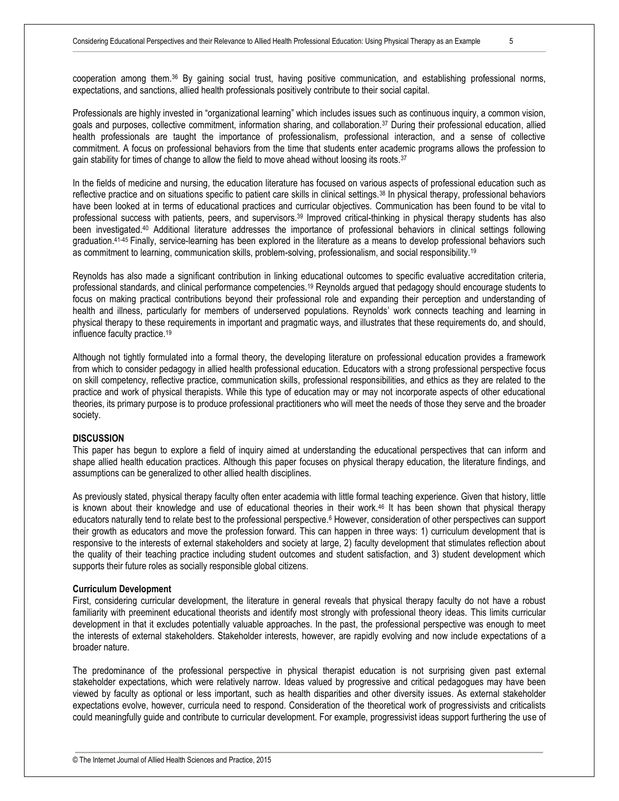Professionals are highly invested in "organizational learning" which includes issues such as continuous inquiry, a common vision, goals and purposes, collective commitment, information sharing, and collaboration.<sup>37</sup> During their professional education, allied health professionals are taught the importance of professionalism, professional interaction, and a sense of collective commitment. A focus on professional behaviors from the time that students enter academic programs allows the profession to gain stability for times of change to allow the field to move ahead without loosing its roots.<sup>37</sup>

In the fields of medicine and nursing, the education literature has focused on various aspects of professional education such as reflective practice and on situations specific to patient care skills in clinical settings.<sup>38</sup> In physical therapy, professional behaviors have been looked at in terms of educational practices and curricular objectives. Communication has been found to be vital to professional success with patients, peers, and supervisors.<sup>39</sup> Improved critical-thinking in physical therapy students has also been investigated.<sup>40</sup> Additional literature addresses the importance of professional behaviors in clinical settings following graduation.<sup>41-45</sup> Finally, service-learning has been explored in the literature as a means to develop professional behaviors such as commitment to learning, communication skills, problem-solving, professionalism, and social responsibility.<sup>19</sup>

Reynolds has also made a significant contribution in linking educational outcomes to specific evaluative accreditation criteria, professional standards, and clinical performance competencies.<sup>19</sup> Reynolds argued that pedagogy should encourage students to focus on making practical contributions beyond their professional role and expanding their perception and understanding of health and illness, particularly for members of underserved populations. Reynolds' work connects teaching and learning in physical therapy to these requirements in important and pragmatic ways, and illustrates that these requirements do, and should, influence faculty practice.<sup>19</sup>

Although not tightly formulated into a formal theory, the developing literature on professional education provides a framework from which to consider pedagogy in allied health professional education. Educators with a strong professional perspective focus on skill competency, reflective practice, communication skills, professional responsibilities, and ethics as they are related to the practice and work of physical therapists. While this type of education may or may not incorporate aspects of other educational theories, its primary purpose is to produce professional practitioners who will meet the needs of those they serve and the broader society.

#### **DISCUSSION**

This paper has begun to explore a field of inquiry aimed at understanding the educational perspectives that can inform and shape allied health education practices. Although this paper focuses on physical therapy education, the literature findings, and assumptions can be generalized to other allied health disciplines.

As previously stated, physical therapy faculty often enter academia with little formal teaching experience. Given that history, little is known about their knowledge and use of educational theories in their work.<sup>46</sup> It has been shown that physical therapy educators naturally tend to relate best to the professional perspective. <sup>6</sup> However, consideration of other perspectives can support their growth as educators and move the profession forward. This can happen in three ways: 1) curriculum development that is responsive to the interests of external stakeholders and society at large, 2) faculty development that stimulates reflection about the quality of their teaching practice including student outcomes and student satisfaction, and 3) student development which supports their future roles as socially responsible global citizens.

#### **Curriculum Development**

First, considering curricular development, the literature in general reveals that physical therapy faculty do not have a robust familiarity with preeminent educational theorists and identify most strongly with professional theory ideas. This limits curricular development in that it excludes potentially valuable approaches. In the past, the professional perspective was enough to meet the interests of external stakeholders. Stakeholder interests, however, are rapidly evolving and now include expectations of a broader nature.

The predominance of the professional perspective in physical therapist education is not surprising given past external stakeholder expectations, which were relatively narrow. Ideas valued by progressive and critical pedagogues may have been viewed by faculty as optional or less important, such as health disparities and other diversity issues. As external stakeholder expectations evolve, however, curricula need to respond. Consideration of the theoretical work of progressivists and criticalists could meaningfully guide and contribute to curricular development. For example, progressivist ideas support furthering the use of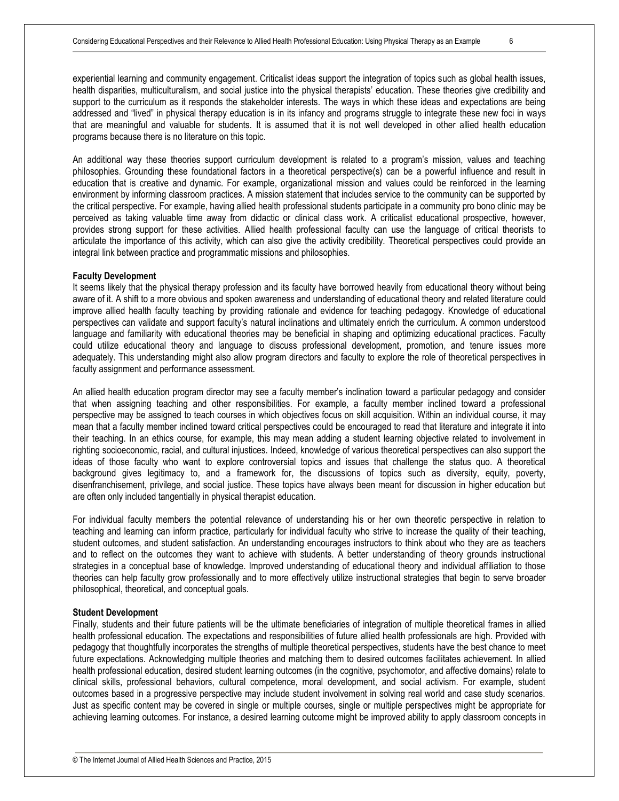experiential learning and community engagement. Criticalist ideas support the integration of topics such as global health issues, health disparities, multiculturalism, and social justice into the physical therapists' education. These theories give credibility and support to the curriculum as it responds the stakeholder interests. The ways in which these ideas and expectations are being addressed and "lived" in physical therapy education is in its infancy and programs struggle to integrate these new foci in ways that are meaningful and valuable for students. It is assumed that it is not well developed in other allied health education programs because there is no literature on this topic.

An additional way these theories support curriculum development is related to a program's mission, values and teaching philosophies. Grounding these foundational factors in a theoretical perspective(s) can be a powerful influence and result in education that is creative and dynamic. For example, organizational mission and values could be reinforced in the learning environment by informing classroom practices. A mission statement that includes service to the community can be supported by the critical perspective. For example, having allied health professional students participate in a community pro bono clinic may be perceived as taking valuable time away from didactic or clinical class work. A criticalist educational prospective, however, provides strong support for these activities. Allied health professional faculty can use the language of critical theorists to articulate the importance of this activity, which can also give the activity credibility. Theoretical perspectives could provide an integral link between practice and programmatic missions and philosophies.

#### **Faculty Development**

It seems likely that the physical therapy profession and its faculty have borrowed heavily from educational theory without being aware of it. A shift to a more obvious and spoken awareness and understanding of educational theory and related literature could improve allied health faculty teaching by providing rationale and evidence for teaching pedagogy. Knowledge of educational perspectives can validate and support faculty's natural inclinations and ultimately enrich the curriculum. A common understood language and familiarity with educational theories may be beneficial in shaping and optimizing educational practices. Faculty could utilize educational theory and language to discuss professional development, promotion, and tenure issues more adequately. This understanding might also allow program directors and faculty to explore the role of theoretical perspectives in faculty assignment and performance assessment.

An allied health education program director may see a faculty member's inclination toward a particular pedagogy and consider that when assigning teaching and other responsibilities. For example, a faculty member inclined toward a professional perspective may be assigned to teach courses in which objectives focus on skill acquisition. Within an individual course, it may mean that a faculty member inclined toward critical perspectives could be encouraged to read that literature and integrate it into their teaching. In an ethics course, for example, this may mean adding a student learning objective related to involvement in righting socioeconomic, racial, and cultural injustices. Indeed, knowledge of various theoretical perspectives can also support the ideas of those faculty who want to explore controversial topics and issues that challenge the status quo. A theoretical background gives legitimacy to, and a framework for, the discussions of topics such as diversity, equity, poverty, disenfranchisement, privilege, and social justice. These topics have always been meant for discussion in higher education but are often only included tangentially in physical therapist education.

For individual faculty members the potential relevance of understanding his or her own theoretic perspective in relation to teaching and learning can inform practice, particularly for individual faculty who strive to increase the quality of their teaching, student outcomes, and student satisfaction. An understanding encourages instructors to think about who they are as teachers and to reflect on the outcomes they want to achieve with students. A better understanding of theory grounds instructional strategies in a conceptual base of knowledge. Improved understanding of educational theory and individual affiliation to those theories can help faculty grow professionally and to more effectively utilize instructional strategies that begin to serve broader philosophical, theoretical, and conceptual goals.

#### **Student Development**

Finally, students and their future patients will be the ultimate beneficiaries of integration of multiple theoretical frames in allied health professional education. The expectations and responsibilities of future allied health professionals are high. Provided with pedagogy that thoughtfully incorporates the strengths of multiple theoretical perspectives, students have the best chance to meet future expectations. Acknowledging multiple theories and matching them to desired outcomes facilitates achievement. In allied health professional education, desired student learning outcomes (in the cognitive, psychomotor, and affective domains) relate to clinical skills, professional behaviors, cultural competence, moral development, and social activism. For example, student outcomes based in a progressive perspective may include student involvement in solving real world and case study scenarios. Just as specific content may be covered in single or multiple courses, single or multiple perspectives might be appropriate for achieving learning outcomes. For instance, a desired learning outcome might be improved ability to apply classroom concepts in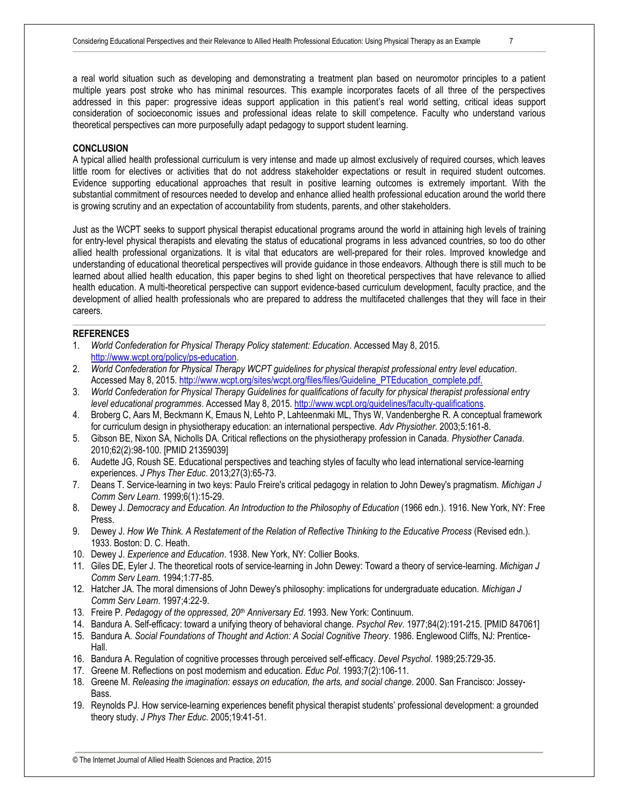a real world situation such as developing and demonstrating a treatment plan based on neuromotor principles to a patient multiple years post stroke who has minimal resources. This example incorporates facets of all three of the perspectives addressed in this paper: progressive ideas support application in this patient's real world setting, critical ideas support consideration of socioeconomic issues and professional ideas relate to skill competence. Faculty who understand various theoretical perspectives can more purposefully adapt pedagogy to support student learning.

#### **CONCLUSION**

A typical allied health professional curriculum is very intense and made up almost exclusively of required courses, which leaves little room for electives or activities that do not address stakeholder expectations or result in required student outcomes. Evidence supporting educational approaches that result in positive learning outcomes is extremely important. With the substantial commitment of resources needed to develop and enhance allied health professional education around the world there is growing scrutiny and an expectation of accountability from students, parents, and other stakeholders.

Just as the WCPT seeks to support physical therapist educational programs around the world in attaining high levels of training for entry-level physical therapists and elevating the status of educational programs in less advanced countries, so too do other allied health professional organizations. It is vital that educators are well-prepared for their roles. Improved knowledge and understanding of educational theoretical perspectives will provide guidance in those endeavors. Although there is still much to be learned about allied health education, this paper begins to shed light on theoretical perspectives that have relevance to allied health education. A multi-theoretical perspective can support evidence-based curriculum development, faculty practice, and the development of allied health professionals who are prepared to address the multifaceted challenges that they will face in their careers.

#### **REFERENCES**

- 1. *World Confederation for Physical Therapy Policy statement: Education*. Accessed May 8, 2015. [http://www.wcpt.org/policy/ps-education.](http://www.wcpt.org/policy/ps-education)
- 2. *World Confederation for Physical Therapy WCPT guidelines for physical therapist professional entry level education*. Accessed May 8, 2015[. http://www.wcpt.org/sites/wcpt.org/files/files/Guideline\\_PTEducation\\_complete.pdf.](http://www.wcpt.org/sites/wcpt.org/files/files/Guideline_PTEducation_complete.pdf)
- 3. *World Confederation for Physical Therapy Guidelines for qualifications of faculty for physical therapist professional entry level educational programmes*. Accessed May 8, 2015[. http://www.wcpt.org/guidelines/faculty-qualifications.](http://www.wcpt.org/guidelines/faculty-qualifications)
- 4. Broberg C, Aars M, Beckmann K, Emaus N, Lehto P, Lahteenmaki ML, Thys W, Vandenberghe R. A conceptual framework for curriculum design in physiotherapy education: an international perspective. *Adv Physiother*. 2003;5:161-8.
- 5. Gibson BE, Nixon SA, Nicholls DA. Critical reflections on the physiotherapy profession in Canada. *Physiother Canada*. 2010;62(2):98-100. [PMID 21359039]
- 6. Audette JG, Roush SE. Educational perspectives and teaching styles of faculty who lead international service-learning experiences. *J Phys Ther Educ*. 2013;27(3):65-73.
- 7. Deans T. Service-learning in two keys: Paulo Freire's critical pedagogy in relation to John Dewey's pragmatism. *Michigan J Comm Serv Learn*. 1999;6(1):15-29.
- 8. Dewey J. *Democracy and Education. An Introduction to the Philosophy of Education* (1966 edn.). 1916. New York, NY: Free Press.
- 9. Dewey J. *How We Think. A Restatement of the Relation of Reflective Thinking to the Educative Process* (Revised edn.). 1933. Boston: D. C. Heath.
- 10. Dewey J. *Experience and Education*. 1938. New York, NY: Collier Books.
- 11. Giles DE, Eyler J. The theoretical roots of service-learning in John Dewey: Toward a theory of service-learning. *Michigan J Comm Serv Learn*. 1994;1:77-85.
- 12. Hatcher JA. The moral dimensions of John Dewey's philosophy: implications for undergraduate education. *Michigan J Comm Serv Learn*. 1997;4:22-9.
- 13. Freire P. *Pedagogy of the oppressed, 20th Anniversary Ed*. 1993. New York: Continuum.
- 14. Bandura A. Self-efficacy: toward a unifying theory of behavioral change. *Psychol Rev*. 1977;84(2):191-215. [PMID 847061]
- 15. Bandura A. *Social Foundations of Thought and Action: A Social Cognitive Theory*. 1986. Englewood Cliffs, NJ: Prentice-Hall.
- 16. Bandura A. Regulation of cognitive processes through perceived self-efficacy. *Devel Psychol*. 1989;25:729-35.
- 17. Greene M. Reflections on post modernism and education. *Educ Pol*. 1993;7(2):106-11.
- 18. Greene M. *Releasing the imagination: essays on education, the arts, and social change*. 2000. San Francisco: Jossey-Bass.
- 19. Reynolds PJ. How service-learning experiences benefit physical therapist students' professional development: a grounded theory study. *J Phys Ther Educ*. 2005;19:41-51.